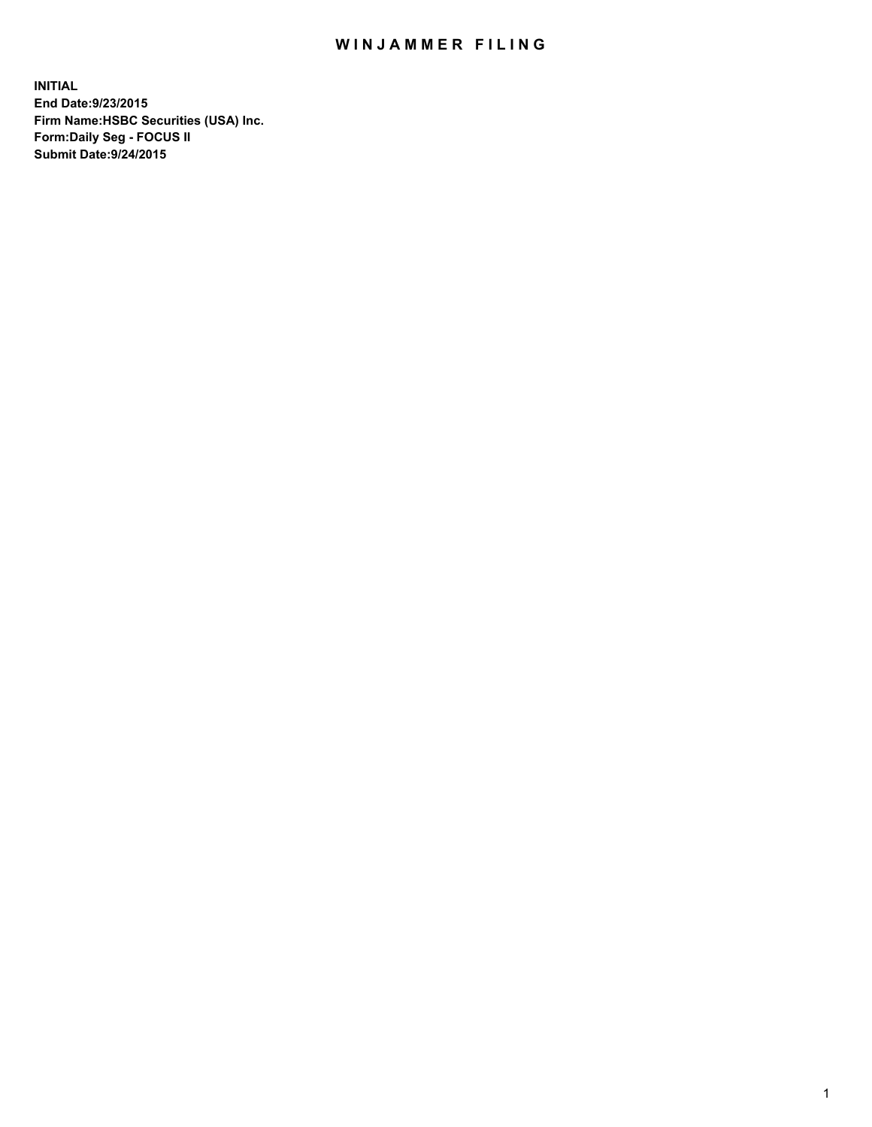## WIN JAMMER FILING

**INITIAL End Date:9/23/2015 Firm Name:HSBC Securities (USA) Inc. Form:Daily Seg - FOCUS II Submit Date:9/24/2015**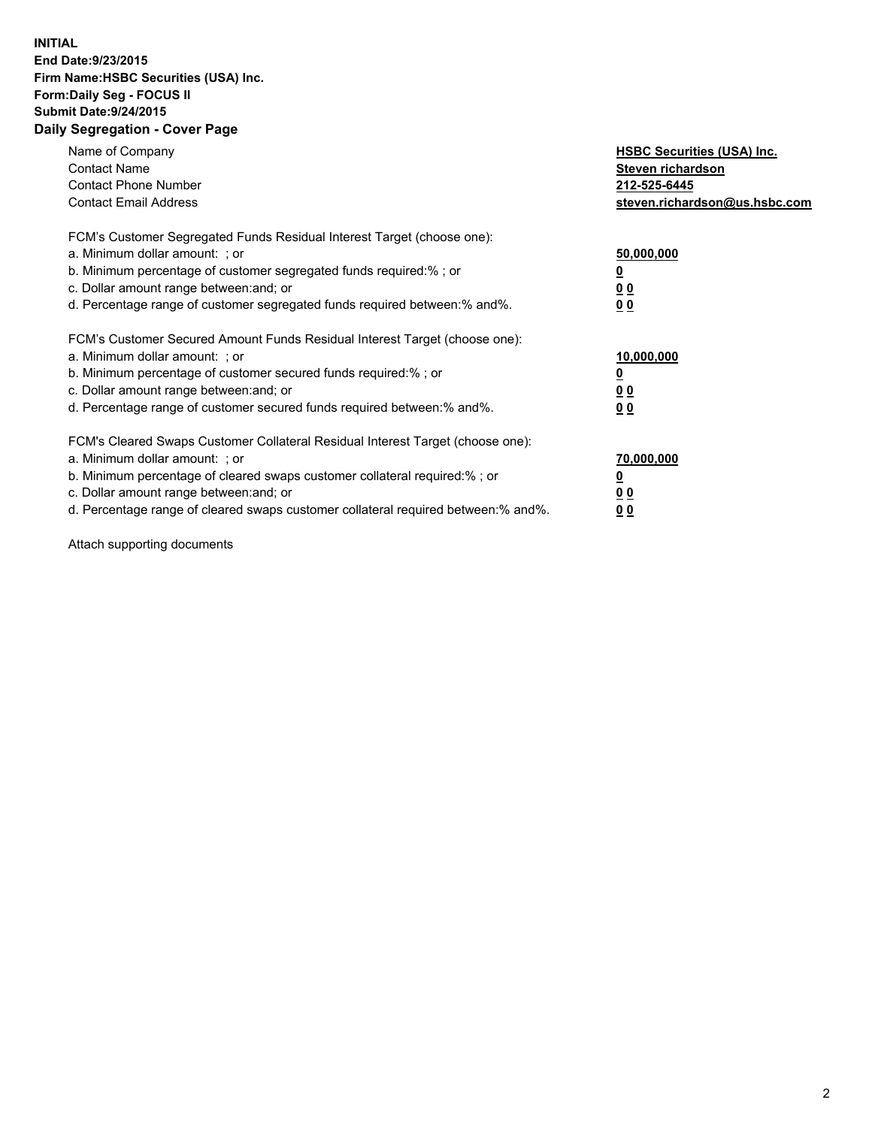## **INITIAL End Date:9/23/2015 Firm Name:HSBC Securities (USA) Inc. Form:Daily Seg - FOCUS II Submit Date:9/24/2015 Daily Segregation - Cover Page**

| Name of Company<br><b>Contact Name</b><br><b>Contact Phone Number</b><br><b>Contact Email Address</b>                                                                                                                                                                                                                          | <b>HSBC Securities (USA) Inc.</b><br>Steven richardson<br>212-525-6445<br>steven.richardson@us.hsbc.com |
|--------------------------------------------------------------------------------------------------------------------------------------------------------------------------------------------------------------------------------------------------------------------------------------------------------------------------------|---------------------------------------------------------------------------------------------------------|
| FCM's Customer Segregated Funds Residual Interest Target (choose one):<br>a. Minimum dollar amount: ; or<br>b. Minimum percentage of customer segregated funds required:%; or<br>c. Dollar amount range between: and; or<br>d. Percentage range of customer segregated funds required between: % and %.                        | 50,000,000<br>0 <sub>0</sub><br>0 <sub>0</sub>                                                          |
| FCM's Customer Secured Amount Funds Residual Interest Target (choose one):<br>a. Minimum dollar amount: ; or<br>b. Minimum percentage of customer secured funds required:%; or<br>c. Dollar amount range between: and; or<br>d. Percentage range of customer secured funds required between:% and%.                            | 10,000,000<br><u>0</u><br>0 <sub>0</sub><br>0 <sub>0</sub>                                              |
| FCM's Cleared Swaps Customer Collateral Residual Interest Target (choose one):<br>a. Minimum dollar amount: ; or<br>b. Minimum percentage of cleared swaps customer collateral required:% ; or<br>c. Dollar amount range between: and; or<br>d. Percentage range of cleared swaps customer collateral required between:% and%. | 70,000,000<br>00<br><u>00</u>                                                                           |

Attach supporting documents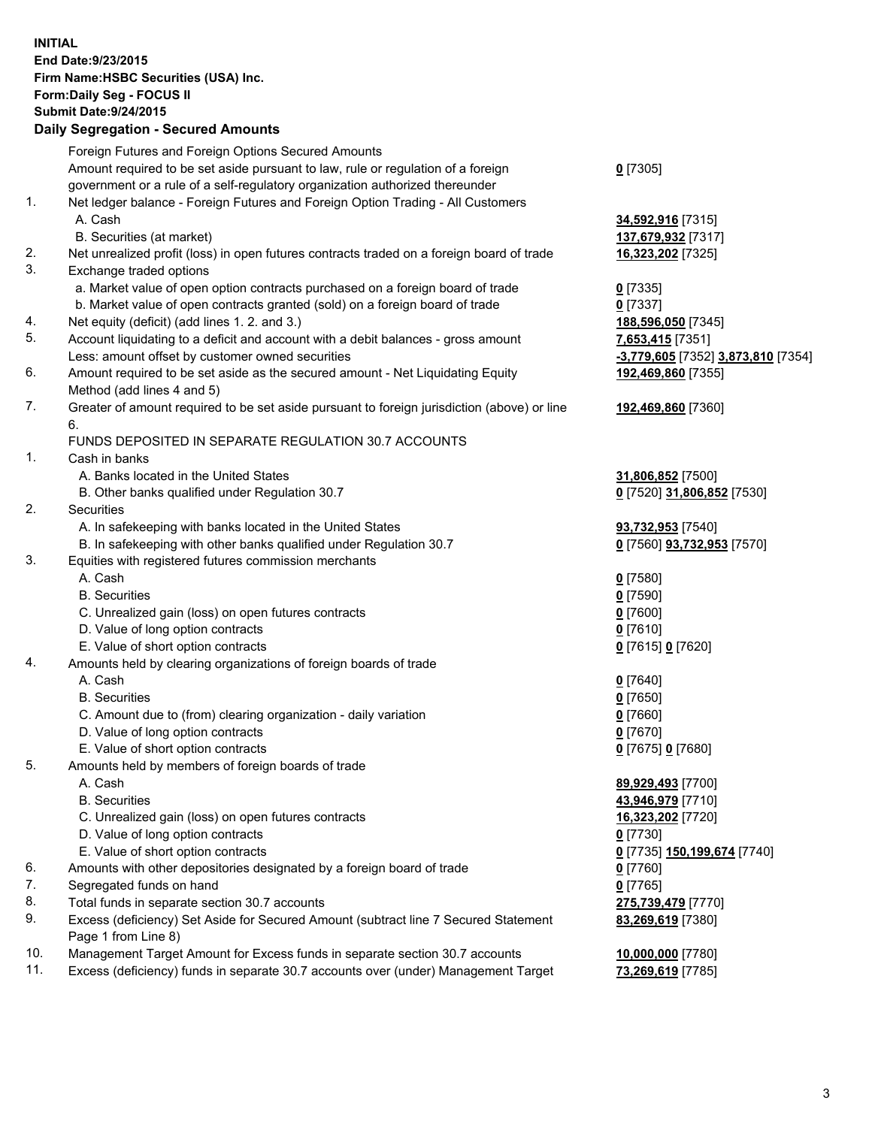**INITIAL End Date:9/23/2015 Firm Name:HSBC Securities (USA) Inc. Form:Daily Seg - FOCUS II Submit Date:9/24/2015 Daily Segregation - Secured Amounts**

Foreign Futures and Foreign Options Secured Amounts Amount required to be set aside pursuant to law, rule or regulation of a foreign government or a rule of a self-regulatory organization authorized thereunder **0** [7305] 1. Net ledger balance - Foreign Futures and Foreign Option Trading - All Customers A. Cash **34,592,916** [7315] B. Securities (at market) **137,679,932** [7317] 2. Net unrealized profit (loss) in open futures contracts traded on a foreign board of trade **16,323,202** [7325] 3. Exchange traded options a. Market value of open option contracts purchased on a foreign board of trade **0** [7335] b. Market value of open contracts granted (sold) on a foreign board of trade **0** [7337] 4. Net equity (deficit) (add lines 1. 2. and 3.) **188,596,050** [7345] 5. Account liquidating to a deficit and account with a debit balances - gross amount **7,653,415** [7351] Less: amount offset by customer owned securities **-3,779,605** [7352] **3,873,810** [7354] 6. Amount required to be set aside as the secured amount - Net Liquidating Equity Method (add lines 4 and 5) **192,469,860** [7355] 7. Greater of amount required to be set aside pursuant to foreign jurisdiction (above) or line 6. **192,469,860** [7360] FUNDS DEPOSITED IN SEPARATE REGULATION 30.7 ACCOUNTS 1. Cash in banks A. Banks located in the United States **31,806,852** [7500] B. Other banks qualified under Regulation 30.7 **0** [7520] **31,806,852** [7530] 2. Securities A. In safekeeping with banks located in the United States **93,732,953** [7540] B. In safekeeping with other banks qualified under Regulation 30.7 **0** [7560] **93,732,953** [7570] 3. Equities with registered futures commission merchants A. Cash **0** [7580] B. Securities **0** [7590] C. Unrealized gain (loss) on open futures contracts **0** [7600] D. Value of long option contracts **0** [7610] E. Value of short option contracts **0** [7615] **0** [7620] 4. Amounts held by clearing organizations of foreign boards of trade A. Cash **0** [7640] B. Securities **0** [7650] C. Amount due to (from) clearing organization - daily variation **0** [7660] D. Value of long option contracts **0** [7670] E. Value of short option contracts **0** [7675] **0** [7680] 5. Amounts held by members of foreign boards of trade A. Cash **89,929,493** [7700] B. Securities **43,946,979** [7710] C. Unrealized gain (loss) on open futures contracts **16,323,202** [7720] D. Value of long option contracts **0** [7730] E. Value of short option contracts **0** [7735] **150,199,674** [7740] 6. Amounts with other depositories designated by a foreign board of trade **0** [7760] 7. Segregated funds on hand **0** [7765] 8. Total funds in separate section 30.7 accounts **275,739,479** [7770] 9. Excess (deficiency) Set Aside for Secured Amount (subtract line 7 Secured Statement Page 1 from Line 8) **83,269,619** [7380] 10. Management Target Amount for Excess funds in separate section 30.7 accounts **10,000,000** [7780] 11. Excess (deficiency) funds in separate 30.7 accounts over (under) Management Target **73,269,619** [7785]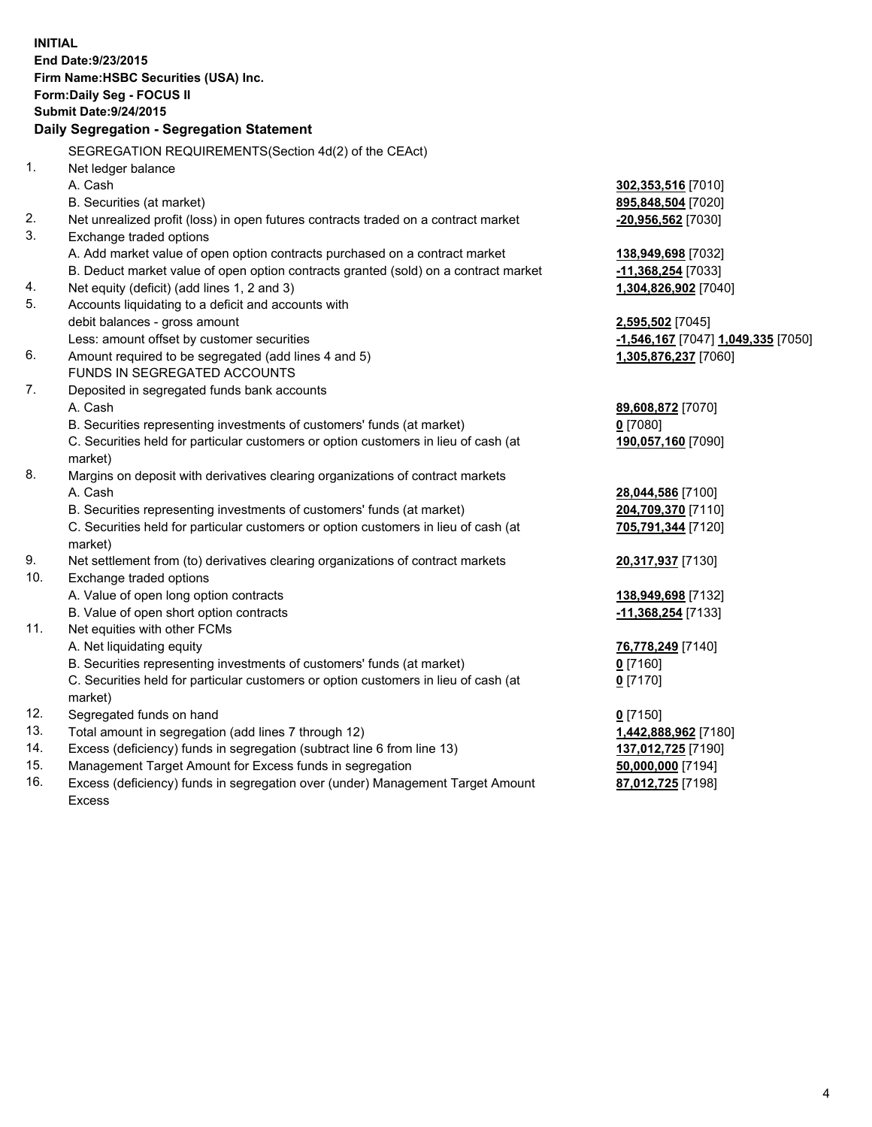| <b>INITIAL</b><br>End Date: 9/23/2015                       |                                                                                                                                    |                                    |  |  |  |
|-------------------------------------------------------------|------------------------------------------------------------------------------------------------------------------------------------|------------------------------------|--|--|--|
| Firm Name: HSBC Securities (USA) Inc.                       |                                                                                                                                    |                                    |  |  |  |
|                                                             |                                                                                                                                    |                                    |  |  |  |
| Form: Daily Seg - FOCUS II<br><b>Submit Date: 9/24/2015</b> |                                                                                                                                    |                                    |  |  |  |
| Daily Segregation - Segregation Statement                   |                                                                                                                                    |                                    |  |  |  |
|                                                             |                                                                                                                                    |                                    |  |  |  |
|                                                             | SEGREGATION REQUIREMENTS(Section 4d(2) of the CEAct)                                                                               |                                    |  |  |  |
| 1.                                                          | Net ledger balance                                                                                                                 |                                    |  |  |  |
|                                                             | A. Cash                                                                                                                            | 302,353,516 [7010]                 |  |  |  |
|                                                             | B. Securities (at market)                                                                                                          | 895,848,504 [7020]                 |  |  |  |
| 2.<br>3.                                                    | Net unrealized profit (loss) in open futures contracts traded on a contract market                                                 | -20,956,562 [7030]                 |  |  |  |
|                                                             | Exchange traded options                                                                                                            |                                    |  |  |  |
|                                                             | A. Add market value of open option contracts purchased on a contract market                                                        | 138,949,698 [7032]                 |  |  |  |
| 4.                                                          | B. Deduct market value of open option contracts granted (sold) on a contract market<br>Net equity (deficit) (add lines 1, 2 and 3) | -11,368,254 [7033]                 |  |  |  |
| 5.                                                          | Accounts liquidating to a deficit and accounts with                                                                                | 1,304,826,902 [7040]               |  |  |  |
|                                                             | debit balances - gross amount                                                                                                      | 2,595,502 [7045]                   |  |  |  |
|                                                             | Less: amount offset by customer securities                                                                                         | -1,546,167 [7047] 1,049,335 [7050] |  |  |  |
| 6.                                                          | Amount required to be segregated (add lines 4 and 5)                                                                               | 1,305,876,237 [7060]               |  |  |  |
|                                                             | FUNDS IN SEGREGATED ACCOUNTS                                                                                                       |                                    |  |  |  |
| 7.                                                          | Deposited in segregated funds bank accounts                                                                                        |                                    |  |  |  |
|                                                             | A. Cash                                                                                                                            | 89,608,872 [7070]                  |  |  |  |
|                                                             | B. Securities representing investments of customers' funds (at market)                                                             | $0$ [7080]                         |  |  |  |
|                                                             | C. Securities held for particular customers or option customers in lieu of cash (at                                                | 190,057,160 [7090]                 |  |  |  |
|                                                             | market)                                                                                                                            |                                    |  |  |  |
| 8.                                                          | Margins on deposit with derivatives clearing organizations of contract markets                                                     |                                    |  |  |  |
|                                                             | A. Cash                                                                                                                            | 28,044,586 [7100]                  |  |  |  |
|                                                             | B. Securities representing investments of customers' funds (at market)                                                             | 204,709,370 [7110]                 |  |  |  |
|                                                             | C. Securities held for particular customers or option customers in lieu of cash (at                                                | 705,791,344 [7120]                 |  |  |  |
|                                                             | market)                                                                                                                            |                                    |  |  |  |
| 9.                                                          | Net settlement from (to) derivatives clearing organizations of contract markets                                                    | 20,317,937 [7130]                  |  |  |  |
| 10.                                                         | Exchange traded options                                                                                                            |                                    |  |  |  |
|                                                             | A. Value of open long option contracts                                                                                             | 138,949,698 [7132]                 |  |  |  |
|                                                             | B. Value of open short option contracts                                                                                            | -11,368,254 [7133]                 |  |  |  |
| 11.                                                         | Net equities with other FCMs                                                                                                       |                                    |  |  |  |
|                                                             | A. Net liquidating equity                                                                                                          | 76,778,249 [7140]                  |  |  |  |
|                                                             | B. Securities representing investments of customers' funds (at market)                                                             | 0 <sup>[7160]</sup>                |  |  |  |
|                                                             | C. Securities held for particular customers or option customers in lieu of cash (at                                                | $0$ [7170]                         |  |  |  |
|                                                             | market)                                                                                                                            |                                    |  |  |  |
| 12.                                                         | Segregated funds on hand                                                                                                           | $0$ [7150]                         |  |  |  |
| 13.                                                         | Total amount in segregation (add lines 7 through 12)                                                                               | 1,442,888,962 [7180]               |  |  |  |
| 14.<br>15.                                                  | Excess (deficiency) funds in segregation (subtract line 6 from line 13)                                                            | 137,012,725 [7190]                 |  |  |  |
|                                                             | Management Target Amount for Excess funds in segregation                                                                           | 50,000,000 [7194]                  |  |  |  |
| 16.                                                         | Excess (deficiency) funds in segregation over (under) Management Target Amount                                                     | 87,012,725 [7198]                  |  |  |  |

16. Excess (deficiency) funds in segregation over (under) Management Target Amount Excess